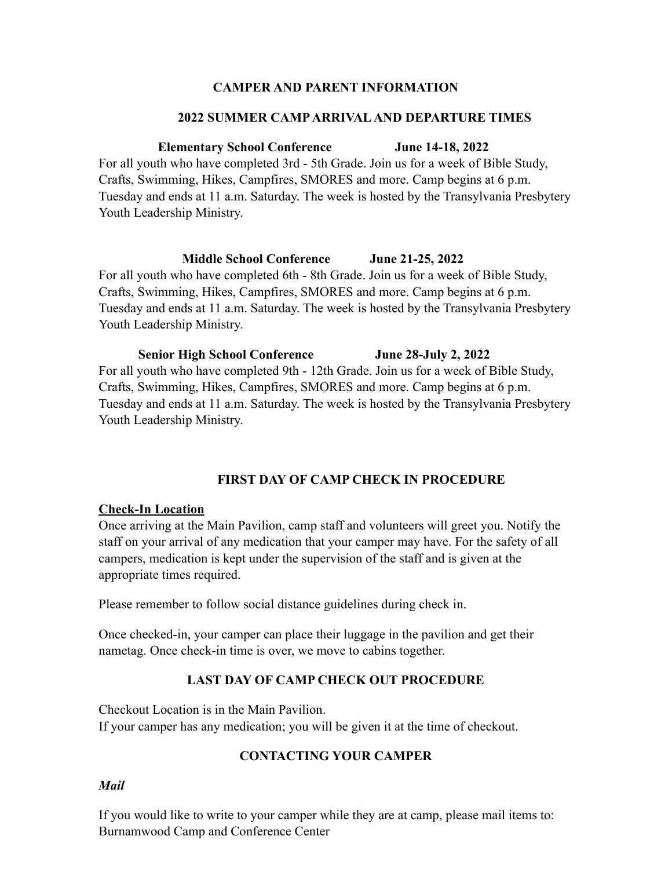### **CAMPER AND PARENT INFORMATION**

#### **2022 SUMMER CAMP ARRIVAL AND DEPARTURE TIMES**

#### **Elementary School Conference June 14-18, 2022**

For all youth who have completed 3rd - 5th Grade. Join us for a week of Bible Study, Crafts, Swimming, Hikes, Campfires, SMORES and more. Camp begins at 6 p.m. Tuesday and ends at 11 a.m. Saturday. The week is hosted by the Transylvania Presbytery Youth Leadership Ministry.

#### **Middle School Conference June 21-25, 2022**

For all youth who have completed 6th - 8th Grade. Join us for a week of Bible Study, Crafts, Swimming, Hikes, Campfires, SMORES and more. Camp begins at 6 p.m. Tuesday and ends at 11 a.m. Saturday. The week is hosted by the Transylvania Presbytery Youth Leadership Ministry.

#### **Senior High School Conference June 28-July 2, 2022**

For all youth who have completed 9th - 12th Grade. Join us for a week of Bible Study, Crafts, Swimming, Hikes, Campfires, SMORES and more. Camp begins at 6 p.m. Tuesday and ends at 11 a.m. Saturday. The week is hosted by the Transylvania Presbytery Youth Leadership Ministry.

### **FIRST DAY OF CAMP CHECK IN PROCEDURE**

### **Check-In Location**

Once arriving at the Main Pavilion, camp staff and volunteers will greet you. Notify the staff on your arrival of any medication that your camper may have. For the safety of all campers, medication is kept under the supervision of the staff and is given at the appropriate times required.

Please remember to follow social distance guidelines during check in.

Once checked-in, your camper can place their luggage in the pavilion and get their nametag. Once check-in time is over, we move to cabins together.

### **LAST DAY OF CAMP CHECK OUT PROCEDURE**

Checkout Location is in the Main Pavilion. If your camper has any medication; you will be given it at the time of checkout.

### **CONTACTING YOUR CAMPER**

### *Mail*

If you would like to write to your camper while they are at camp, please mail items to: Burnamwood Camp and Conference Center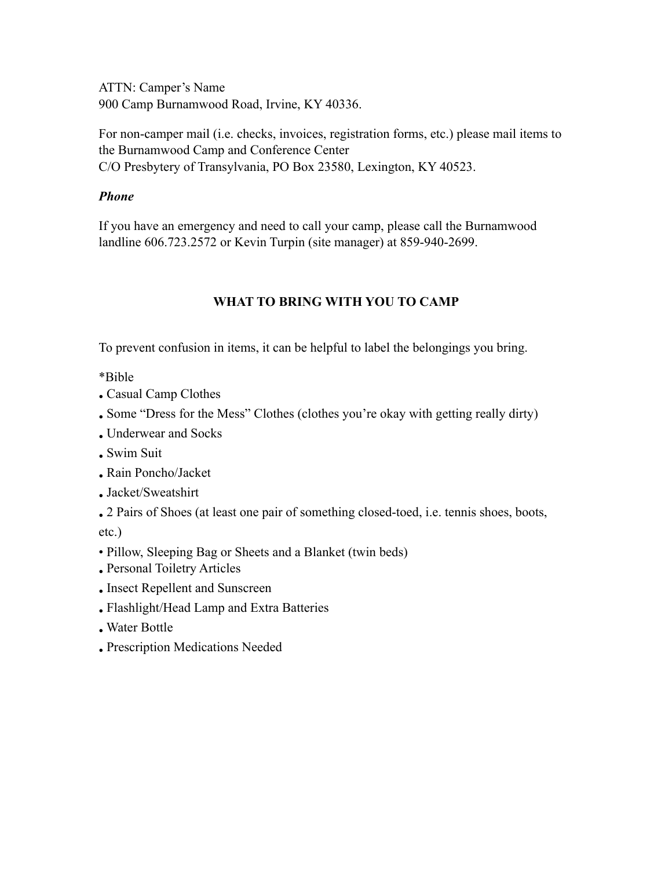ATTN: Camper's Name 900 Camp Burnamwood Road, Irvine, KY 40336.

For non-camper mail (i.e. checks, invoices, registration forms, etc.) please mail items to the Burnamwood Camp and Conference Center C/O Presbytery of Transylvania, PO Box 23580, Lexington, KY 40523.

### *Phone*

If you have an emergency and need to call your camp, please call the Burnamwood landline 606.723.2572 or Kevin Turpin (site manager) at 859-940-2699.

## **WHAT TO BRING WITH YOU TO CAMP**

To prevent confusion in items, it can be helpful to label the belongings you bring.

\*Bible

- Casual Camp Clothes
- Some "Dress for the Mess" Clothes (clothes you're okay with getting really dirty)
- Underwear and Socks
- Swim Suit
- Rain Poncho/Jacket
- Jacket/Sweatshirt
- 2 Pairs of Shoes (at least one pair of something closed-toed, i.e. tennis shoes, boots, etc.)
- Pillow, Sleeping Bag or Sheets and a Blanket (twin beds)
- Personal Toiletry Articles
- Insect Repellent and Sunscreen
- Flashlight/Head Lamp and Extra Batteries
- Water Bottle
- Prescription Medications Needed